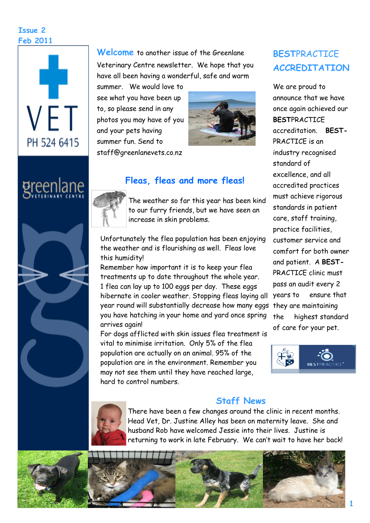#### **Issue 2 Feb 2011**







**Welcome** to another issue of the Greenlane Veterinary Centre newsletter. We hope that you have all been having a wonderful, safe and warm

summer. We would love to see what you have been up to, so please send in any photos you may have of you and your pets having summer fun. Send to staff@greenlanevets.co.nz



# **Fleas, fleas and more fleas!**

The weather so far this year has been kind to our furry friends, but we have seen an increase in skin problems.

Unfortunately the flea population has been enjoying the weather and is flourishing as well. Fleas love this humidity!

year round will substantially decrease how many eggs they are maintaining Remember how important it is to keep your flea treatments up to date throughout the whole year. 1 flea can lay up to 100 eggs per day. These eggs hibernate in cooler weather. Stopping fleas laying all you have hatching in your home and yard once spring arrives again!

For dogs afflicted with skin issues flea treatment is vital to minimise irritation. Only 5% of the flea population are actually on an animal. 95% of the population are in the environment. Remember you may not see them until they have reached large, hard to control numbers.

# **BEST**PRACTICE **ACCREDITATION**

We are proud to announce that we have once again achieved our **BEST**PRACTICE accreditation. **BEST-**PRACTICE is an industry recognised standard of excellence, and all accredited practices must achieve rigorous standards in patient care, staff training, practice facilities, customer service and comfort for both owner and patient. A **BEST-**PRACTICE clinic must pass an audit every 2 years to ensure that the highest standard of care for your pet.





## **Staff News**

There have been a few changes around the clinic in recent months. Head Vet, Dr. Justine Alley has been on maternity leave. She and husband Rob have welcomed Jessie into their lives. Justine is returning to work in late February. We can't wait to have her back!